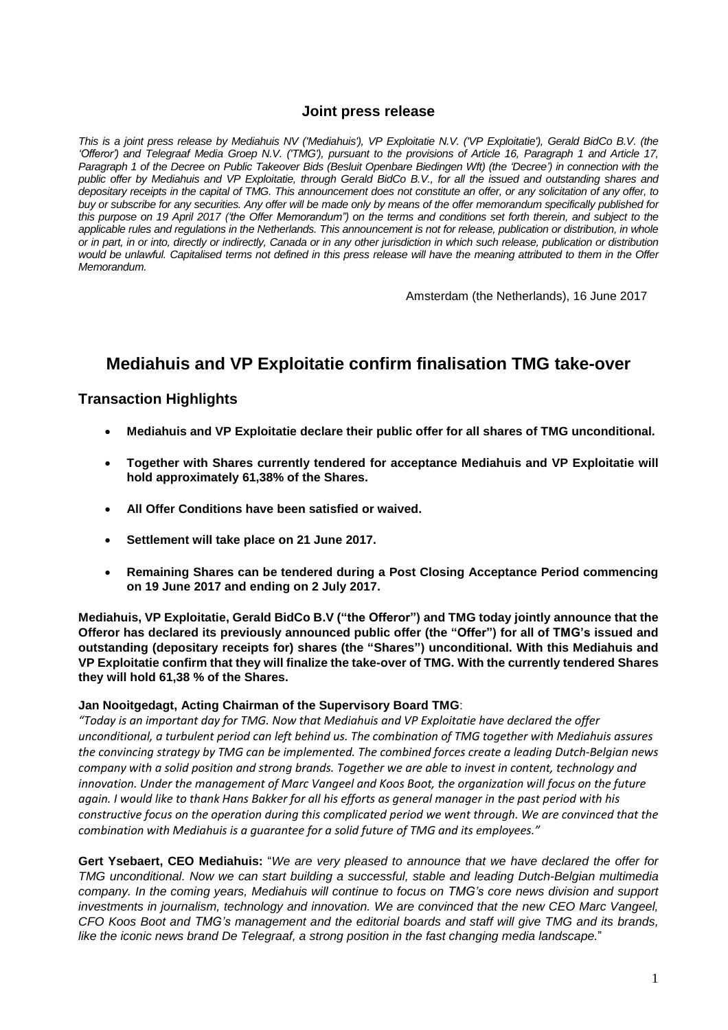### **Joint press release**

This is a joint press release by Mediahuis NV ('Mediahuis'), VP Exploitatie N.V. ('VP Exploitatie'), Gerald BidCo B.V. (the 'Offeror') and Telegraaf Media Groep N.V. ('TMG'), pursuant to the provisions of Article 16, Paragraph 1 and Article 17, Paragraph 1 of the Decree on Public Takeover Bids (Besluit Openbare Biedingen Wft) (the 'Decree') in connection with the public offer by Mediahuis and VP Exploitatie, through Gerald BidCo B.V., for all the issued and outstanding shares and depositary receipts in the capital of TMG. This announcement does not constitute an offer, or any solicitation of any offer, to buy or subscribe for any securities. Any offer will be made only by means of the offer memorandum specifically published for this purpose on 19 April 2017 ('the Offer Memorandum") on the terms and conditions set forth therein, and subject to the applicable rules and regulations in the Netherlands. This announcement is not for release, publication or distribution, in whole or in part, in or into, directly or indirectly, Canada or in any other jurisdiction in which such release, publication or distribution would be unlawful. Capitalised terms not defined in this press release will have the meaning attributed to them in the Offer *Memorandum.*

Amsterdam (the Netherlands), 16 June 2017

# **Mediahuis and VP Exploitatie confirm finalisation TMG take-over**

### **Transaction Highlights**

- **Mediahuis and VP Exploitatie declare their public offer for all shares of TMG unconditional.**
- **Together with Shares currently tendered for acceptance Mediahuis and VP Exploitatie will hold approximately 61,38% of the Shares.**
- **All Offer Conditions have been satisfied or waived.**
- **Settlement will take place on 21 June 2017.**
- **Remaining Shares can be tendered during a Post Closing Acceptance Period commencing on 19 June 2017 and ending on 2 July 2017.**

**Mediahuis, VP Exploitatie, Gerald BidCo B.V ("the Offeror") and TMG today jointly announce that the Offeror has declared its previously announced public offer (the "Offer") for all of TMG's issued and outstanding (depositary receipts for) shares (the "Shares") unconditional. With this Mediahuis and VP Exploitatie confirm that they will finalize the take-over of TMG. With the currently tendered Shares they will hold 61,38 % of the Shares.**

#### **Jan Nooitgedagt, Acting Chairman of the Supervisory Board TMG**:

*"Today is an important day for TMG. Now that Mediahuis and VP Exploitatie have declared the offer unconditional, a turbulent period can left behind us. The combination of TMG together with Mediahuis assures the convincing strategy by TMG can be implemented. The combined forces create a leading Dutch-Belgian news* company with a solid position and strong brands. Together we are able to invest in content, technology and *innovation. Under the management of Marc Vangeel and Koos Boot, the organization will focus on the future* again. I would like to thank Hans Bakker for all his efforts as general manager in the past period with his constructive focus on the operation during this complicated period we went through. We are convinced that the *combination with Mediahuis is a guarantee for a solid future of TMG and its employees."*

**Gert Ysebaert, CEO Mediahuis:** "*We are very pleased to announce that we have declared the offer for TMG unconditional. Now we can start building a successful, stable and leading Dutch-Belgian multimedia company. In the coming years, Mediahuis will continue to focus on TMG's core news division and support investments in journalism, technology and innovation. We are convinced that the new CEO Marc Vangeel,* CFO Koos Boot and TMG's management and the editorial boards and staff will give TMG and its brands, *like the iconic news brand De Telegraaf, a strong position in the fast changing media landscape.*"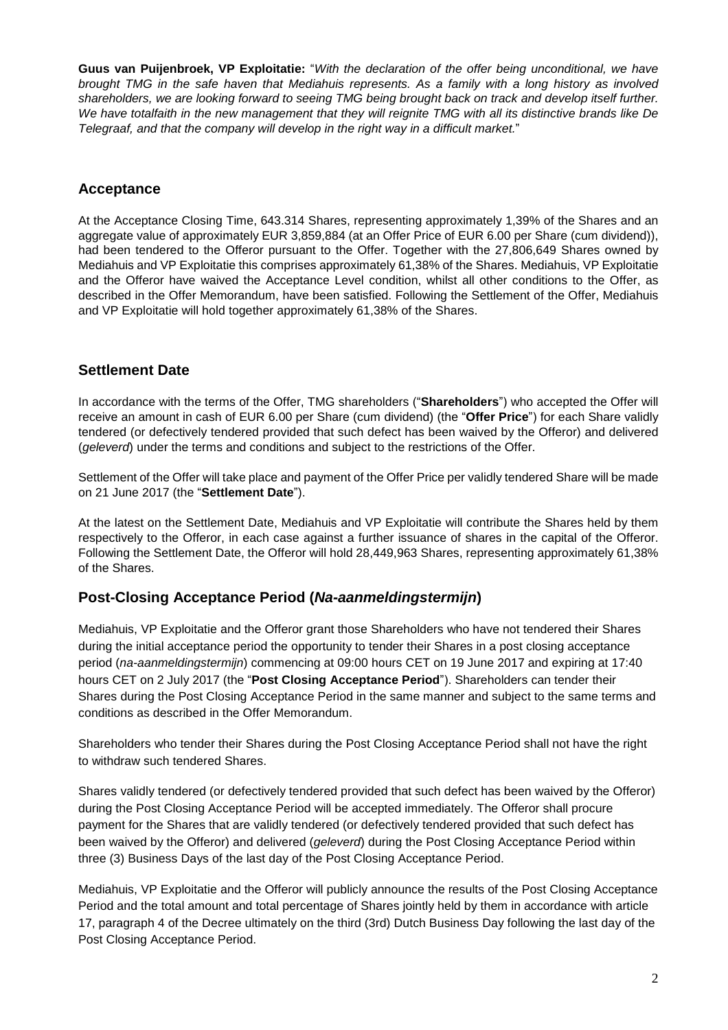**Guus van Puijenbroek, VP Exploitatie:** "*With the declaration of the offer being unconditional, we have* brought TMG in the safe haven that Mediahuis represents. As a family with a long history as involved shareholders, we are looking forward to seeing TMG being brought back on track and develop itself further. We have totalfaith in the new management that they will reignite TMG with all its distinctive brands like De *Telegraaf, and that the company will develop in the right way in a difficult market.*"

# **Acceptance**

At the Acceptance Closing Time, 643.314 Shares, representing approximately 1,39% of the Shares and an aggregate value of approximately EUR 3,859,884 (at an Offer Price of EUR 6.00 per Share (cum dividend)), had been tendered to the Offeror pursuant to the Offer. Together with the 27,806,649 Shares owned by Mediahuis and VP Exploitatie this comprises approximately 61,38% of the Shares. Mediahuis, VP Exploitatie and the Offeror have waived the Acceptance Level condition, whilst all other conditions to the Offer, as described in the Offer Memorandum, have been satisfied. Following the Settlement of the Offer, Mediahuis and VP Exploitatie will hold together approximately 61,38% of the Shares.

# **Settlement Date**

In accordance with the terms of the Offer, TMG shareholders ("**Shareholders**") who accepted the Offer will receive an amount in cash of EUR 6.00 per Share (cum dividend) (the "**Offer Price**") for each Share validly tendered (or defectively tendered provided that such defect has been waived by the Offeror) and delivered (*geleverd*) under the terms and conditions and subject to the restrictions of the Offer.

Settlement of the Offer will take place and payment of the Offer Price per validly tendered Share will be made on 21 June 2017 (the "**Settlement Date**").

At the latest on the Settlement Date, Mediahuis and VP Exploitatie will contribute the Shares held by them respectively to the Offeror, in each case against a further issuance of shares in the capital of the Offeror. Following the Settlement Date, the Offeror will hold 28,449,963 Shares, representing approximately 61,38% of the Shares.

## **Post-Closing Acceptance Period (***Na-aanmeldingstermijn***)**

Mediahuis, VP Exploitatie and the Offeror grant those Shareholders who have not tendered their Shares during the initial acceptance period the opportunity to tender their Shares in a post closing acceptance period (*na-aanmeldingstermijn*) commencing at 09:00 hours CET on 19 June 2017 and expiring at 17:40 hours CET on 2 July 2017 (the "**Post Closing Acceptance Period**"). Shareholders can tender their Shares during the Post Closing Acceptance Period in the same manner and subject to the same terms and conditions as described in the Offer Memorandum.

Shareholders who tender their Shares during the Post Closing Acceptance Period shall not have the right to withdraw such tendered Shares.

Shares validly tendered (or defectively tendered provided that such defect has been waived by the Offeror) during the Post Closing Acceptance Period will be accepted immediately. The Offeror shall procure payment for the Shares that are validly tendered (or defectively tendered provided that such defect has been waived by the Offeror) and delivered (*geleverd*) during the Post Closing Acceptance Period within three (3) Business Days of the last day of the Post Closing Acceptance Period.

Mediahuis, VP Exploitatie and the Offeror will publicly announce the results of the Post Closing Acceptance Period and the total amount and total percentage of Shares jointly held by them in accordance with article 17, paragraph 4 of the Decree ultimately on the third (3rd) Dutch Business Day following the last day of the Post Closing Acceptance Period.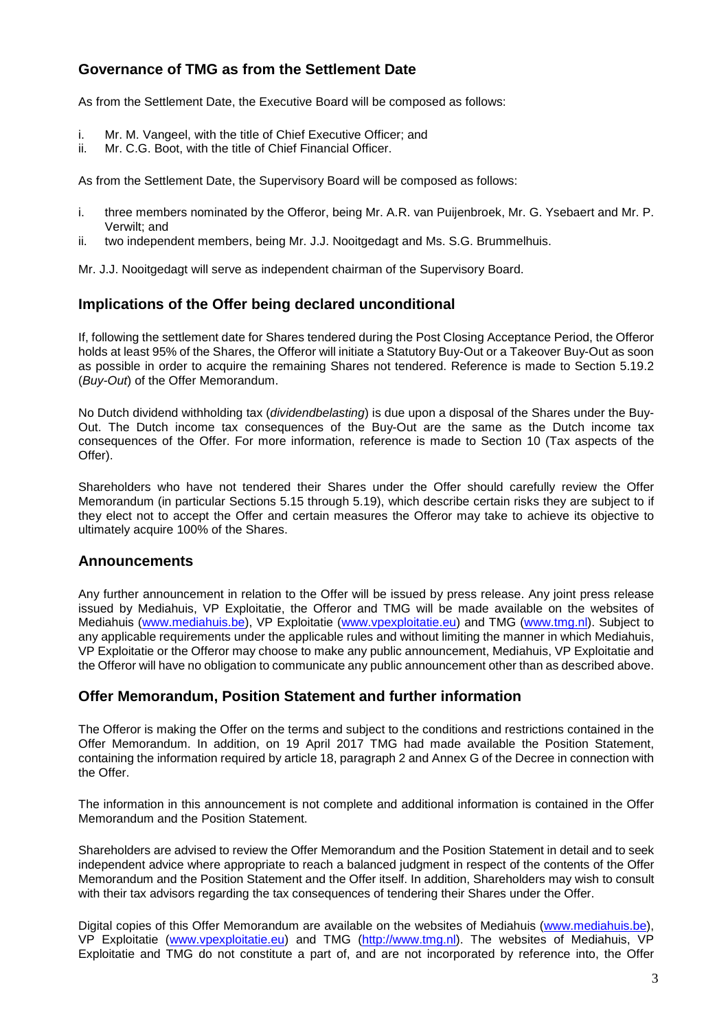# **Governance of TMG as from the Settlement Date**

As from the Settlement Date, the Executive Board will be composed as follows:

- i. Mr. M. Vangeel, with the title of Chief Executive Officer; and
- ii. Mr. C.G. Boot, with the title of Chief Financial Officer.

As from the Settlement Date, the Supervisory Board will be composed as follows:

- i. three members nominated by the Offeror, being Mr. A.R. van Puijenbroek, Mr. G. Ysebaert and Mr. P. Verwilt; and
- ii. two independent members, being Mr. J.J. Nooitgedagt and Ms. S.G. Brummelhuis.

Mr. J.J. Nooitgedagt will serve as independent chairman of the Supervisory Board.

# **Implications of the Offer being declared unconditional**

If, following the settlement date for Shares tendered during the Post Closing Acceptance Period, the Offeror holds at least 95% of the Shares, the Offeror will initiate a Statutory Buy-Out or a Takeover Buy-Out as soon as possible in order to acquire the remaining Shares not tendered. Reference is made to Section 5.19.2 (*Buy-Out*) of the Offer Memorandum.

No Dutch dividend withholding tax (*dividendbelasting*) is due upon a disposal of the Shares under the Buy-Out. The Dutch income tax consequences of the Buy-Out are the same as the Dutch income tax consequences of the Offer. For more information, reference is made to Section 10 (Tax aspects of the Offer).

Shareholders who have not tendered their Shares under the Offer should carefully review the Offer Memorandum (in particular Sections 5.15 through 5.19), which describe certain risks they are subject to if they elect not to accept the Offer and certain measures the Offeror may take to achieve its objective to ultimately acquire 100% of the Shares.

## **Announcements**

Any further announcement in relation to the Offer will be issued by press release. Any joint press release issued by Mediahuis, VP Exploitatie, the Offeror and TMG will be made available on the websites of Mediahuis [\(www.mediahuis.be\)](http://www.mediahuis.be/), VP Exploitatie [\(www.vpexploitatie.eu\)](http://www.vpexploitatie.eu/) and TMG [\(www.tmg.nl\)](http://www.tmg.nl/). Subject to any applicable requirements under the applicable rules and without limiting the manner in which Mediahuis, VP Exploitatie or the Offeror may choose to make any public announcement, Mediahuis, VP Exploitatie and the Offeror will have no obligation to communicate any public announcement other than as described above.

## **Offer Memorandum, Position Statement and further information**

The Offeror is making the Offer on the terms and subject to the conditions and restrictions contained in the Offer Memorandum. In addition, on 19 April 2017 TMG had made available the Position Statement, containing the information required by article 18, paragraph 2 and Annex G of the Decree in connection with the Offer.

The information in this announcement is not complete and additional information is contained in the Offer Memorandum and the Position Statement.

Shareholders are advised to review the Offer Memorandum and the Position Statement in detail and to seek independent advice where appropriate to reach a balanced judgment in respect of the contents of the Offer Memorandum and the Position Statement and the Offer itself. In addition, Shareholders may wish to consult with their tax advisors regarding the tax consequences of tendering their Shares under the Offer.

Digital copies of this Offer Memorandum are available on the websites of Mediahuis [\(www.mediahuis.be\)](http://www.mediahuis.be/), VP Exploitatie [\(www.vpexploitatie.eu\)](http://www.vpexploitatie.eu/) and TMG [\(http://www.tmg.nl\)](http://www.tmg.nl/). The websites of Mediahuis, VP Exploitatie and TMG do not constitute a part of, and are not incorporated by reference into, the Offer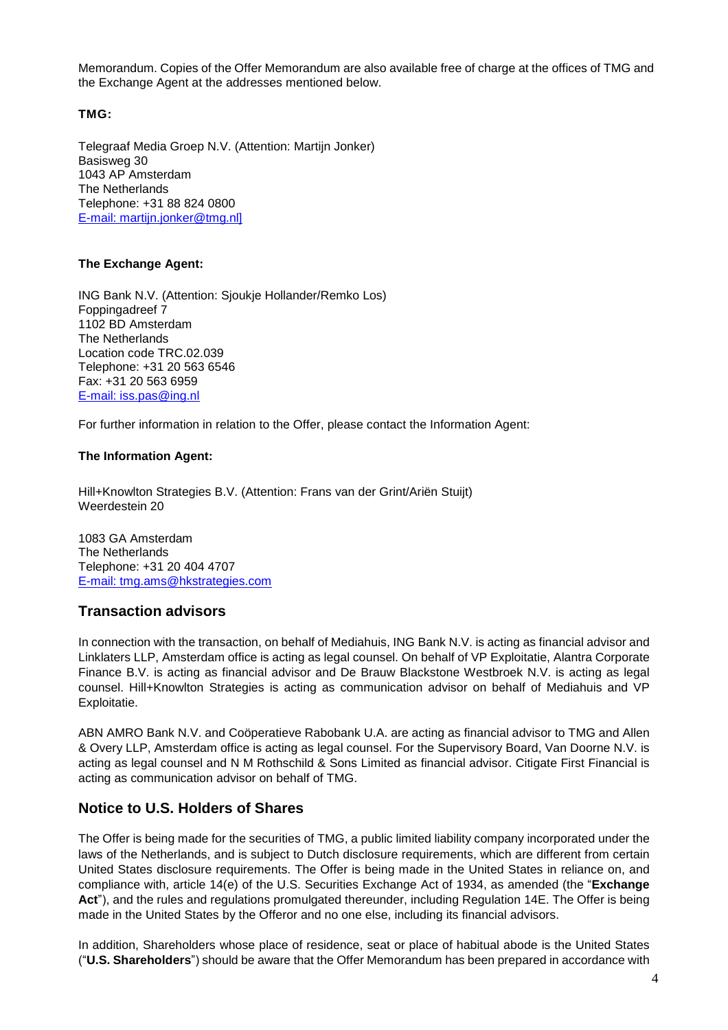Memorandum. Copies of the Offer Memorandum are also available free of charge at the offices of TMG and the Exchange Agent at the addresses mentioned below.

### **TMG:**

Telegraaf Media Groep N.V. (Attention: Martijn Jonker) Basisweg 30 1043 AP Amsterdam The Netherlands Telephone: +31 88 824 0800 E-mail: martijn.jonker@tmg.nl]

#### **The Exchange Agent:**

ING Bank N.V. (Attention: Sjoukje Hollander/Remko Los) Foppingadreef 7 1102 BD Amsterdam The Netherlands Location code TRC.02.039 Telephone: +31 20 563 6546 Fax: +31 20 563 6959 E-mail: [iss.pas@ing.nl](mailto:iss.pas@ing.nl)

For further information in relation to the Offer, please contact the Information Agent:

#### **The Information Agent:**

Hill+Knowlton Strategies B.V. (Attention: Frans van der Grint/Ariën Stuijt) Weerdestein 20

1083 GA Amsterdam The Netherlands Telephone: +31 20 404 4707 E-mail: [tmg.ams@hkstrategies.com](mailto:tmg.ams@hkstrategies.com)

### **Transaction advisors**

In connection with the transaction, on behalf of Mediahuis, ING Bank N.V. is acting as financial advisor and Linklaters LLP, Amsterdam office is acting as legal counsel. On behalf of VP Exploitatie, Alantra Corporate Finance B.V. is acting as financial advisor and De Brauw Blackstone Westbroek N.V. is acting as legal counsel. Hill+Knowlton Strategies is acting as communication advisor on behalf of Mediahuis and VP Exploitatie.

ABN AMRO Bank N.V. and Coöperatieve Rabobank U.A. are acting as financial advisor to TMG and Allen & Overy LLP, Amsterdam office is acting as legal counsel. For the Supervisory Board, Van Doorne N.V. is acting as legal counsel and N M Rothschild & Sons Limited as financial advisor. Citigate First Financial is acting as communication advisor on behalf of TMG.

## **Notice to U.S. Holders of Shares**

The Offer is being made for the securities of TMG, a public limited liability company incorporated under the laws of the Netherlands, and is subject to Dutch disclosure requirements, which are different from certain United States disclosure requirements. The Offer is being made in the United States in reliance on, and compliance with, article 14(e) of the U.S. Securities Exchange Act of 1934, as amended (the "**Exchange Act**"), and the rules and regulations promulgated thereunder, including Regulation 14E. The Offer is being made in the United States by the Offeror and no one else, including its financial advisors.

In addition, Shareholders whose place of residence, seat or place of habitual abode is the United States ("**U.S. Shareholders**") should be aware that the Offer Memorandum has been prepared in accordance with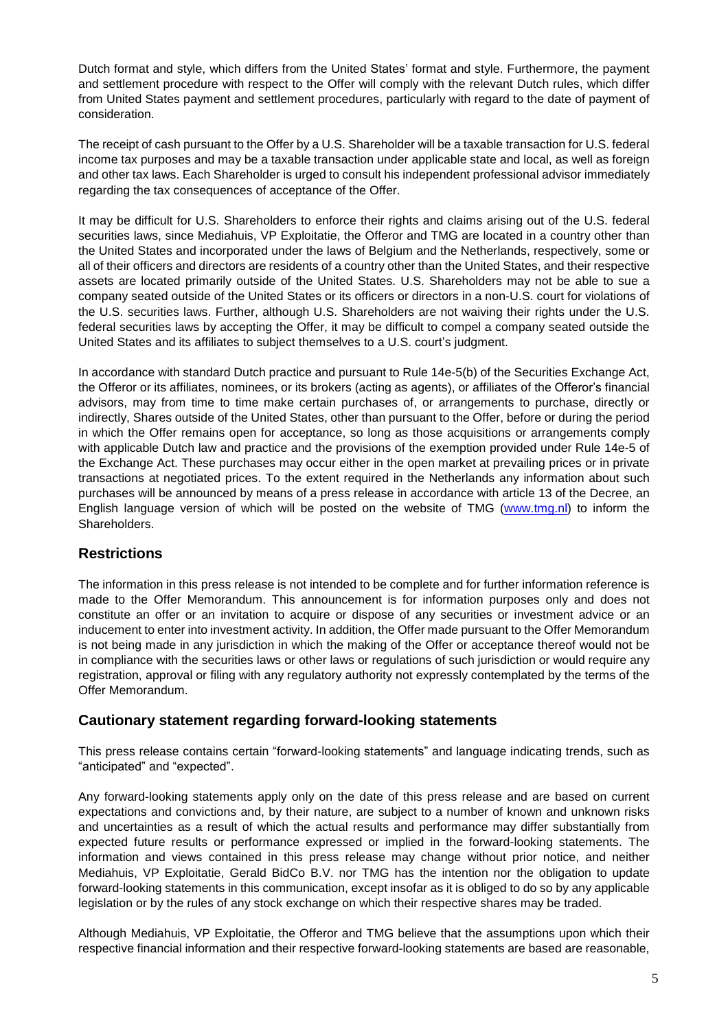Dutch format and style, which differs from the United States' format and style. Furthermore, the payment and settlement procedure with respect to the Offer will comply with the relevant Dutch rules, which differ from United States payment and settlement procedures, particularly with regard to the date of payment of consideration.

The receipt of cash pursuant to the Offer by a U.S. Shareholder will be a taxable transaction for U.S. federal income tax purposes and may be a taxable transaction under applicable state and local, as well as foreign and other tax laws. Each Shareholder is urged to consult his independent professional advisor immediately regarding the tax consequences of acceptance of the Offer.

It may be difficult for U.S. Shareholders to enforce their rights and claims arising out of the U.S. federal securities laws, since Mediahuis, VP Exploitatie, the Offeror and TMG are located in a country other than the United States and incorporated under the laws of Belgium and the Netherlands, respectively, some or all of their officers and directors are residents of a country other than the United States, and their respective assets are located primarily outside of the United States. U.S. Shareholders may not be able to sue a company seated outside of the United States or its officers or directors in a non-U.S. court for violations of the U.S. securities laws. Further, although U.S. Shareholders are not waiving their rights under the U.S. federal securities laws by accepting the Offer, it may be difficult to compel a company seated outside the United States and its affiliates to subject themselves to a U.S. court's judgment.

In accordance with standard Dutch practice and pursuant to Rule 14e-5(b) of the Securities Exchange Act, the Offeror or its affiliates, nominees, or its brokers (acting as agents), or affiliates of the Offeror's financial advisors, may from time to time make certain purchases of, or arrangements to purchase, directly or indirectly, Shares outside of the United States, other than pursuant to the Offer, before or during the period in which the Offer remains open for acceptance, so long as those acquisitions or arrangements comply with applicable Dutch law and practice and the provisions of the exemption provided under Rule 14e-5 of the Exchange Act. These purchases may occur either in the open market at prevailing prices or in private transactions at negotiated prices. To the extent required in the Netherlands any information about such purchases will be announced by means of a press release in accordance with article 13 of the Decree, an English language version of which will be posted on the website of TMG [\(www.tmg.nl\)](http://www.tmg.nl/) to inform the Shareholders.

## **Restrictions**

The information in this press release is not intended to be complete and for further information reference is made to the Offer Memorandum. This announcement is for information purposes only and does not constitute an offer or an invitation to acquire or dispose of any securities or investment advice or an inducement to enter into investment activity. In addition, the Offer made pursuant to the Offer Memorandum is not being made in any jurisdiction in which the making of the Offer or acceptance thereof would not be in compliance with the securities laws or other laws or regulations of such jurisdiction or would require any registration, approval or filing with any regulatory authority not expressly contemplated by the terms of the Offer Memorandum.

## **Cautionary statement regarding forward-looking statements**

This press release contains certain "forward-looking statements" and language indicating trends, such as "anticipated" and "expected".

Any forward-looking statements apply only on the date of this press release and are based on current expectations and convictions and, by their nature, are subject to a number of known and unknown risks and uncertainties as a result of which the actual results and performance may differ substantially from expected future results or performance expressed or implied in the forward-looking statements. The information and views contained in this press release may change without prior notice, and neither Mediahuis, VP Exploitatie, Gerald BidCo B.V. nor TMG has the intention nor the obligation to update forward-looking statements in this communication, except insofar as it is obliged to do so by any applicable legislation or by the rules of any stock exchange on which their respective shares may be traded.

Although Mediahuis, VP Exploitatie, the Offeror and TMG believe that the assumptions upon which their respective financial information and their respective forward-looking statements are based are reasonable,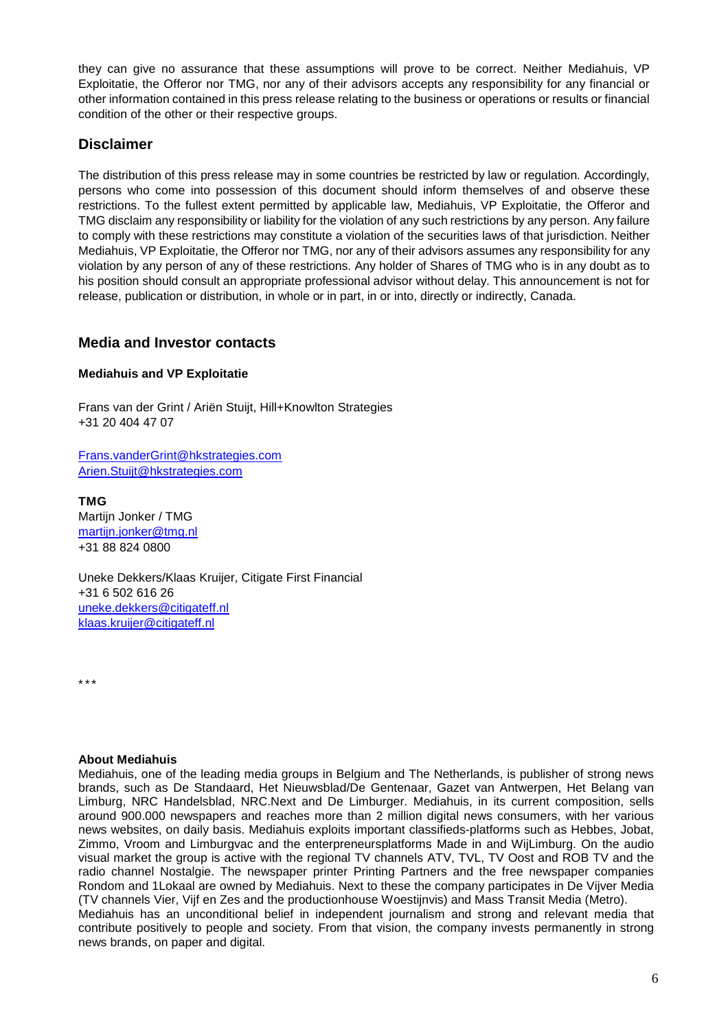they can give no assurance that these assumptions will prove to be correct. Neither Mediahuis, VP Exploitatie, the Offeror nor TMG, nor any of their advisors accepts any responsibility for any financial or other information contained in this press release relating to the business or operations or results or financial condition of the other or their respective groups.

## **Disclaimer**

The distribution of this press release may in some countries be restricted by law or regulation. Accordingly, persons who come into possession of this document should inform themselves of and observe these restrictions. To the fullest extent permitted by applicable law, Mediahuis, VP Exploitatie, the Offeror and TMG disclaim any responsibility or liability for the violation of any such restrictions by any person. Any failure to comply with these restrictions may constitute a violation of the securities laws of that jurisdiction. Neither Mediahuis, VP Exploitatie, the Offeror nor TMG, nor any of their advisors assumes any responsibility for any violation by any person of any of these restrictions. Any holder of Shares of TMG who is in any doubt as to his position should consult an appropriate professional advisor without delay. This announcement is not for release, publication or distribution, in whole or in part, in or into, directly or indirectly, Canada.

## **Media and Investor contacts**

### **Mediahuis and VP Exploitatie**

Frans van der Grint / Ariën Stuijt, Hill+Knowlton Strategies +31 20 404 47 07

[Frans.vanderGrint@hkstrategies.com](mailto:Frans.vanderGrint@hkstrategies.com) [Arien.Stuijt@hkstrategies.com](mailto:Arien.Stuijt@hkstrategies.com)

**TMG** Martijn Jonker / TMG [martijn.jonker@tmg.nl](mailto:martijn.jonker@tmg.nl) +31 88 824 0800

Uneke Dekkers/Klaas Kruijer, Citigate First Financial +31 6 502 616 26 [uneke.dekkers@citigateff.nl](mailto:uneke.dekkers@citigateff.nl) [klaas.kruijer@citigateff.nl](mailto:klaas.kruijer@citigateff.nl)

\*\*\*

#### **About Mediahuis**

Mediahuis, one of the leading media groups in Belgium and The Netherlands, is publisher of strong news brands, such as De Standaard, Het Nieuwsblad/De Gentenaar, Gazet van Antwerpen, Het Belang van Limburg, NRC Handelsblad, NRC.Next and De Limburger. Mediahuis, in its current composition, sells around 900.000 newspapers and reaches more than 2 million digital news consumers, with her various news websites, on daily basis. Mediahuis exploits important classifieds-platforms such as Hebbes, Jobat, Zimmo, Vroom and Limburgvac and the enterpreneursplatforms Made in and WijLimburg. On the audio visual market the group is active with the regional TV channels ATV, TVL, TV Oost and ROB TV and the radio channel Nostalgie. The newspaper printer Printing Partners and the free newspaper companies Rondom and 1Lokaal are owned by Mediahuis. Next to these the company participates in De Vijver Media (TV channels Vier, Vijf en Zes and the productionhouse Woestijnvis) and Mass Transit Media (Metro). Mediahuis has an unconditional belief in independent journalism and strong and relevant media that contribute positively to people and society. From that vision, the company invests permanently in strong news brands, on paper and digital.